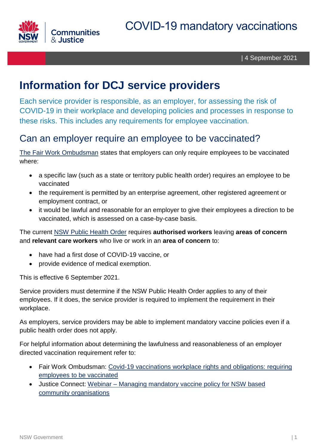

| 4 September 2021

# **Information for DCJ service providers**

Each service provider is responsible, as an employer, for assessing the risk of COVID-19 in their workplace and developing policies and processes in response to these risks. This includes any requirements for employee vaccination.

## Can an employer require an employee to be vaccinated?

[The Fair Work Ombudsman](https://coronavirus.fairwork.gov.au/coronavirus-and-australian-workplace-laws/covid-19-vaccinations-and-the-workplace/covid-19-vaccinations-workplace-rights-and-obligations#requiring-employees-to-be-vaccinated) states that employers can only require employees to be vaccinated where:

- a specific law (such as a state or territory public health order) requires an employee to be vaccinated
- the requirement is permitted by an enterprise agreement, other registered agreement or employment contract, or
- it would be lawful and reasonable for an employer to give their employees a direction to be vaccinated, which is assessed on a case-by-case basis.

The current [NSW Public Health Order](https://www.nsw.gov.au/covid-19/rules) requires **authorised workers** leaving **areas of concern** and **relevant care workers** who live or work in an **area of concern** to:

- have had a first dose of COVID-19 vaccine, or
- provide evidence of medical exemption.

This is effective 6 September 2021.

Service providers must determine if the NSW Public Health Order applies to any of their employees. If it does, the service provider is required to implement the requirement in their workplace.

As employers, service providers may be able to implement mandatory vaccine policies even if a public health order does not apply.

For helpful information about determining the lawfulness and reasonableness of an employer directed vaccination requirement refer to:

- Fair Work Ombudsman: Covid-19 vaccinations workplace rights and [obligations: requiring](hps://coronavirus.fairwork.gov.au/coronavirus-and-australian-workplace-laws/covid-19-vaccinations-and-the-workplace/covid-19-vaccinations-workplace-rights-and-obligations#requiring-employees-to-be-vaccinated) [employees](hps://coronavirus.fairwork.gov.au/coronavirus-and-australian-workplace-laws/covid-19-vaccinations-and-the-workplace/covid-19-vaccinations-workplace-rights-and-obligations#requiring-employees-to-be-vaccinated) to be vaccinated
- Justice Connect: Webinar Managing mandatory vaccine policy for NSW based [community organisations](https://nfplaw.org.au/managing-mandatory-vaccine-policy-nsw-based-community-organisations-free-webinar)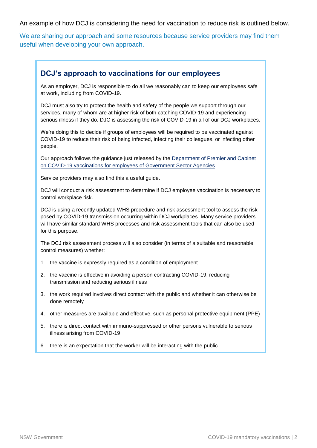An example of how DCJ is considering the need for vaccination to reduce risk is outlined below.

We are sharing our approach and some resources because service providers may find them useful when developing your own approach.

#### **DCJ's approach to vaccinations for our employees**

As an employer, DCJ is responsible to do all we reasonably can to keep our employees safe at work, including from COVID-19.

DCJ must also try to protect the health and safety of the people we support through our services, many of whom are at higher risk of both catching COVID-19 and experiencing serious illness if they do. DJC is assessing the risk of COVID-19 in all of our DCJ workplaces.

We're doing this to decide if groups of employees will be required to be vaccinated against COVID-19 to reduce their risk of being infected, infecting their colleagues, or infecting other people.

Our approach follows the guidance just released by the [Department of Premier and Cabinet](https://arp.nsw.gov.au/c2021-16-guidance-for-government-sector-agencies-regarding-covid-19-vaccinations-for-their-employees/)  [on COVID-19 vaccinations for employees of Government Sector Agencies.](https://arp.nsw.gov.au/c2021-16-guidance-for-government-sector-agencies-regarding-covid-19-vaccinations-for-their-employees/)

Service providers may also find this a useful guide.

DCJ will conduct a risk assessment to determine if DCJ employee vaccination is necessary to control workplace risk.

DCJ is using a recently updated WHS procedure and risk assessment tool to assess the risk posed by COVID-19 transmission occurring within DCJ workplaces. Many service providers will have similar standard WHS processes and risk assessment tools that can also be used for this purpose.

The DCJ risk assessment process will also consider (in terms of a suitable and reasonable control measures) whether:

- 1. the vaccine is expressly required as a condition of employment
- 2. the vaccine is effective in avoiding a person contracting COVID-19, reducing transmission and reducing serious illness
- 3. the work required involves direct contact with the public and whether it can otherwise be done remotely
- 4. other measures are available and effective, such as personal protective equipment (PPE)
- 5. there is direct contact with immuno-suppressed or other persons vulnerable to serious illness arising from COVID-19
- 6. there is an expectation that the worker will be interacting with the public.